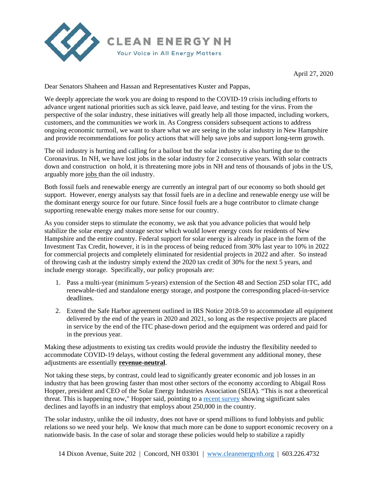

April 27, 2020

Dear Senators Shaheen and Hassan and Representatives Kuster and Pappas,

We deeply appreciate the work you are doing to respond to the COVID-19 crisis including efforts to advance urgent national priorities such as sick leave, paid leave, and testing for the virus. From the perspective of the solar industry, these initiatives will greatly help all those impacted, including workers, customers, and the communities we work in. As Congress considers subsequent actions to address ongoing economic turmoil, we want to share what we are seeing in the solar industry in New Hampshire and provide recommendations for policy actions that will help save jobs and support long-term growth.

The oil industry is hurting and calling for a bailout but the solar industry is also hurting due to the Coronavirus. In NH, we have lost jobs in the solar industry for 2 consecutive years. With solar contracts down and construction on hold, it is threatening more jobs in NH and tens of thousands of jobs in the US, arguably more jobs than the oil industry.

Both fossil fuels and renewable energy are currently an integral part of our economy so both should get support. However, energy analysts say that fossil fuels are in a decline and renewable energy use will be the dominant energy source for our future. Since fossil fuels are a huge contributor to climate change supporting renewable energy makes more sense for our country.

As you consider steps to stimulate the economy, we ask that you advance policies that would help stabilize the solar energy and storage sector which would lower energy costs for residents of New Hampshire and the entire country. Federal support for solar energy is already in place in the form of the Investment Tax Credit, however, it is in the process of being reduced from 30% last year to 10% in 2022 for commercial projects and completely eliminated for residential projects in 2022 and after. So instead of throwing cash at the industry simply extend the 2020 tax credit of 30% for the next 5 years, and include energy storage. Specifically, our policy proposals are:

- 1. Pass a multi-year (minimum 5-years) extension of the Section 48 and Section 25D solar ITC, add renewable-tied and standalone energy storage, and postpone the corresponding placed-in-service deadlines.
- 2. Extend the Safe Harbor agreement outlined in IRS Notice 2018-59 to accommodate all equipment delivered by the end of the years in 2020 and 2021, so long as the respective projects are placed in service by the end of the ITC phase-down period and the equipment was ordered and paid for in the previous year.

Making these adjustments to existing tax credits would provide the industry the flexibility needed to accommodate COVID-19 delays, without costing the federal government any additional money, these adjustments are essentially **revenue-neutral**.

Not taking these steps, by contrast, could lead to significantly greater economic and job losses in an industry that has been growing faster than most other sectors of the economy according to Abigail Ross Hopper, president and CEO of the Solar Energy Industries Association (SEIA). "This is not a theoretical threat. This is happening now," Hopper said, pointing to a recent survey showing significant sales declines and layoffs in an industry that employs about 250,000 in the country.

The solar industry, unlike the oil industry, does not have or spend millions to fund lobbyists and public relations so we need your help. We know that much more can be done to support economic recovery on a nationwide basis. In the case of solar and storage these policies would help to stabilize a rapidly